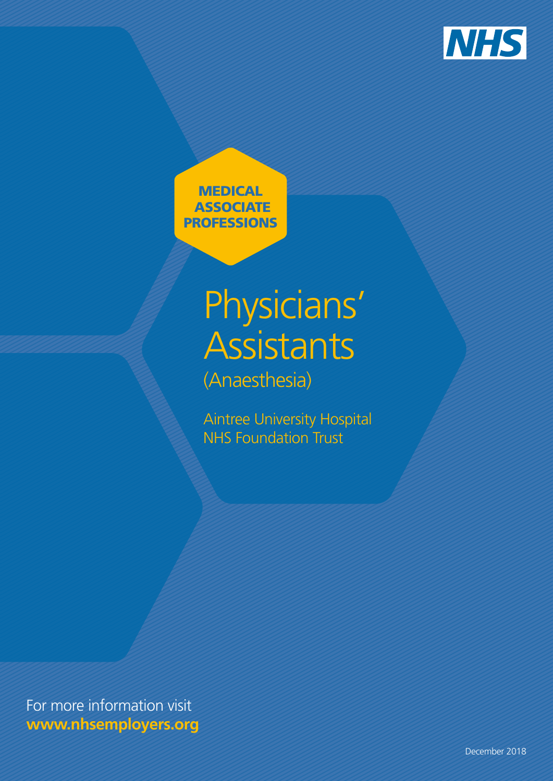

**MEDICAL ASSOCIATE** PROFESSIONS

# Physicians' **Assistants** (Anaesthesia)

Aintree University Hospital NHS Foundation Trust

For more information visit **www.nhsemployers.org**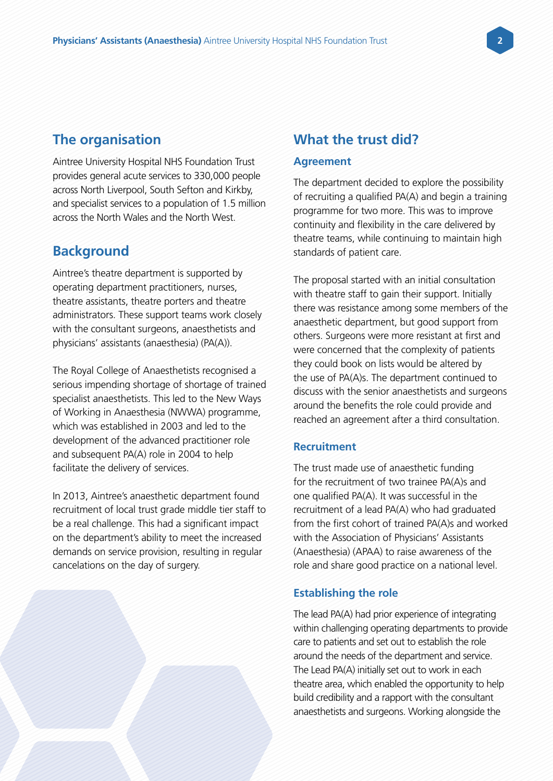# **The organisation**

Aintree University Hospital NHS Foundation Trust provides general acute services to 330,000 people across North Liverpool, South Sefton and Kirkby, and specialist services to a population of 1.5 million across the North Wales and the North West.

## **Background**

Aintree's theatre department is supported by operating department practitioners, nurses, theatre assistants, theatre porters and theatre administrators. These support teams work closely with the consultant surgeons, anaesthetists and physicians' assistants (anaesthesia) (PA(A)).

The Royal College of Anaesthetists recognised a serious impending shortage of shortage of trained specialist anaesthetists. This led to the New Ways of Working in Anaesthesia (NWWA) programme, which was established in 2003 and led to the development of the advanced practitioner role and subsequent PA(A) role in 2004 to help facilitate the delivery of services.

In 2013, Aintree's anaesthetic department found recruitment of local trust grade middle tier staff to be a real challenge. This had a significant impact on the department's ability to meet the increased demands on service provision, resulting in regular cancelations on the day of surgery.

# **What the trust did?**

### **Agreement**

The department decided to explore the possibility of recruiting a qualified PA(A) and begin a training programme for two more. This was to improve continuity and flexibility in the care delivered by theatre teams, while continuing to maintain high standards of patient care.

The proposal started with an initial consultation with theatre staff to gain their support. Initially there was resistance among some members of the anaesthetic department, but good support from others. Surgeons were more resistant at first and were concerned that the complexity of patients they could book on lists would be altered by the use of PA(A)s. The department continued to discuss with the senior anaesthetists and surgeons around the benefits the role could provide and reached an agreement after a third consultation.

#### **Recruitment**

The trust made use of anaesthetic funding for the recruitment of two trainee PA(A)s and one qualified PA(A). It was successful in the recruitment of a lead PA(A) who had graduated from the first cohort of trained PA(A)s and worked with the Association of Physicians' Assistants (Anaesthesia) (APAA) to raise awareness of the role and share good practice on a national level.

#### **Establishing the role**

The lead PA(A) had prior experience of integrating within challenging operating departments to provide care to patients and set out to establish the role around the needs of the department and service. The Lead PA(A) initially set out to work in each theatre area, which enabled the opportunity to help build credibility and a rapport with the consultant anaesthetists and surgeons. Working alongside the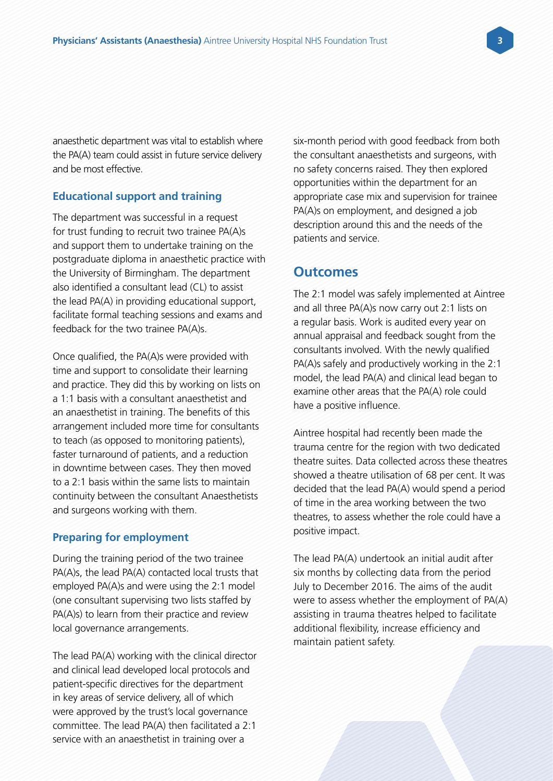anaesthetic department was vital to establish where the PA(A) team could assist in future service delivery and be most effective.

#### **Educational support and training**

The department was successful in a request for trust funding to recruit two trainee PA(A)s and support them to undertake training on the postgraduate diploma in anaesthetic practice with the University of Birmingham. The department also identified a consultant lead (CL) to assist the lead PA(A) in providing educational support, facilitate formal teaching sessions and exams and feedback for the two trainee PA(A)s.

Once qualified, the PA(A)s were provided with time and support to consolidate their learning and practice. They did this by working on lists on a 1:1 basis with a consultant anaesthetist and an anaesthetist in training. The benefits of this arrangement included more time for consultants to teach (as opposed to monitoring patients), faster turnaround of patients, and a reduction in downtime between cases. They then moved to a 2:1 basis within the same lists to maintain continuity between the consultant Anaesthetists and surgeons working with them.

#### **Preparing for employment**

During the training period of the two trainee PA(A)s, the lead PA(A) contacted local trusts that employed PA(A)s and were using the 2:1 model (one consultant supervising two lists staffed by PA(A)s) to learn from their practice and review local governance arrangements.

The lead PA(A) working with the clinical director and clinical lead developed local protocols and patient-specific directives for the department in key areas of service delivery, all of which were approved by the trust's local governance committee. The lead PA(A) then facilitated a 2:1 service with an anaesthetist in training over a

six-month period with good feedback from both the consultant anaesthetists and surgeons, with no safety concerns raised. They then explored opportunities within the department for an appropriate case mix and supervision for trainee PA(A)s on employment, and designed a job description around this and the needs of the patients and service.

#### **Outcomes**

The 2:1 model was safely implemented at Aintree and all three PA(A)s now carry out 2:1 lists on a regular basis. Work is audited every year on annual appraisal and feedback sought from the consultants involved. With the newly qualified PA(A)s safely and productively working in the 2:1 model, the lead PA(A) and clinical lead began to examine other areas that the PA(A) role could have a positive influence.

Aintree hospital had recently been made the trauma centre for the region with two dedicated theatre suites. Data collected across these theatres showed a theatre utilisation of 68 per cent. It was decided that the lead PA(A) would spend a period of time in the area working between the two theatres, to assess whether the role could have a positive impact.

The lead PA(A) undertook an initial audit after six months by collecting data from the period July to December 2016. The aims of the audit were to assess whether the employment of PA(A) assisting in trauma theatres helped to facilitate additional flexibility, increase efficiency and maintain patient safety.